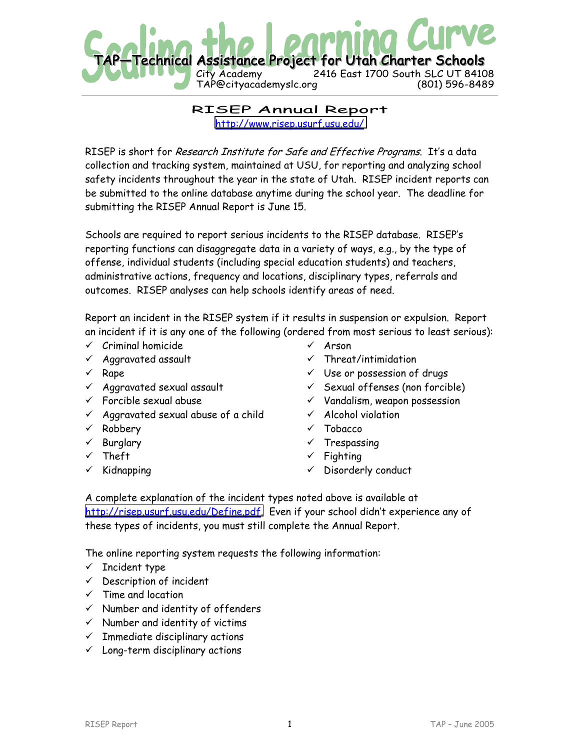

RISEP Annual Report [http://www.risep.usurf.usu.edu/](http://www.risep.usu.edu/)

RISEP is short for Research Institute for Safe and Effective Programs. It's a data collection and tracking system, maintained at USU, for reporting and analyzing school safety incidents throughout the year in the state of Utah. RISEP incident reports can be submitted to the online database anytime during the school year. The deadline for submitting the RISEP Annual Report is June 15.

Schools are required to report serious incidents to the RISEP database. RISEP's reporting functions can disaggregate data in a variety of ways, e.g., by the type of offense, individual students (including special education students) and teachers, administrative actions, frequency and locations, disciplinary types, referrals and outcomes. RISEP analyses can help schools identify areas of need.

Report an incident in the RISEP system if it results in suspension or expulsion. Report an incident if it is any one of the following (ordered from most serious to least serious):

- $\checkmark$  Criminal homicide
- $\times$  Aggravated assault
- $\times$  Rape
- $\checkmark$  Aggravated sexual assault
- $\checkmark$  Forcible sexual abuse
- $\checkmark$  Aggravated sexual abuse of a child
- $\checkmark$  Robbery
- $\times$  Burglary
- $\times$  Theft
- $\times$  Kidnapping
- $\times$  Arson
- $\checkmark$  Threat/intimidation
- $V$  Use or possession of drugs
- $\checkmark$  Sexual offenses (non forcible)
- $\checkmark$  Vandalism, weapon possession
- $\checkmark$  Alcohol violation
- ! Tobacco
- **Trespassing**
- $\checkmark$  Fighting
- $\checkmark$  Disorderly conduct

A complete explanation of the incident types noted above is available at [http://risep.usurf.usu.edu/Define.pdf.](http://risep.usurf.usu.edu/Define.pdf) Even if your school didn't experience any of these types of incidents, you must still complete the Annual Report.

The online reporting system requests the following information:

- $\checkmark$  Incident type
- $\checkmark$  Description of incident
- $\checkmark$  Time and location
- $\checkmark$  Number and identity of offenders
- $\checkmark$  Number and identity of victims
- $\checkmark$  Immediate disciplinary actions
- $\checkmark$  Long-term disciplinary actions